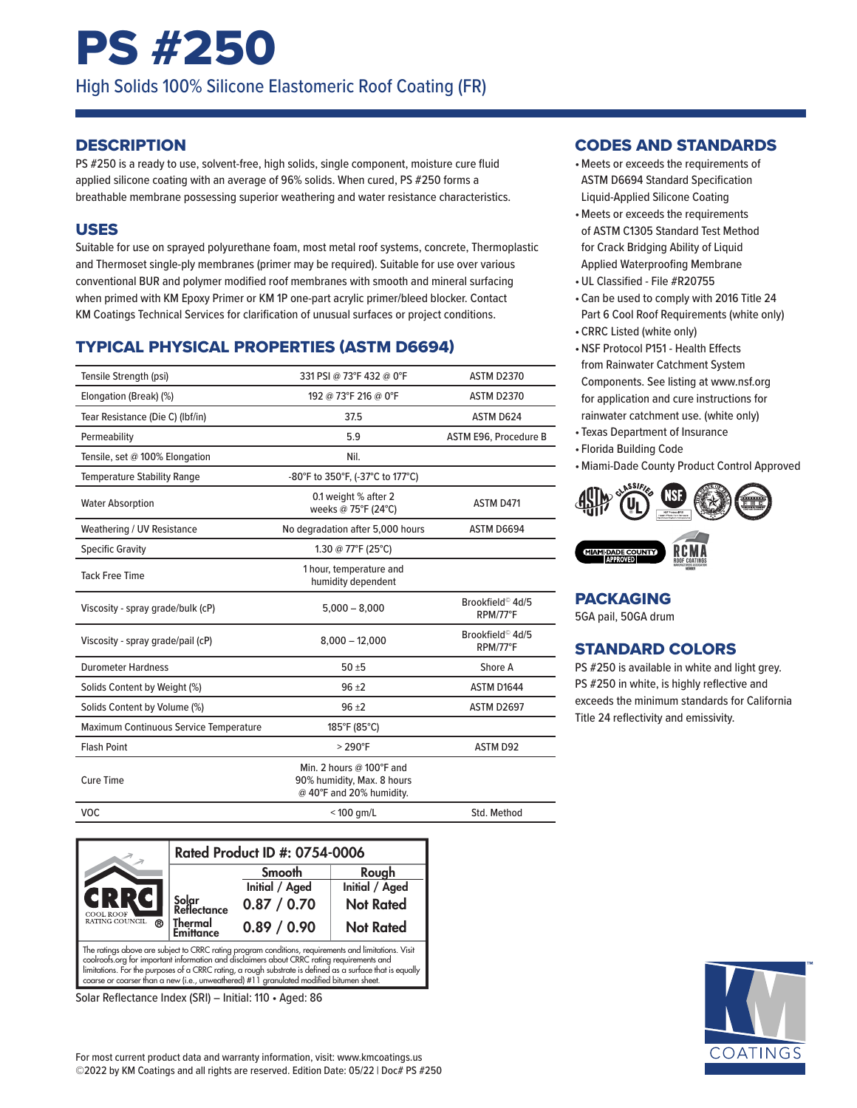# PS #250

High Solids 100% Silicone Elastomeric Roof Coating (FR)

### **DESCRIPTION**

PS #250 is a ready to use, solvent-free, high solids, single component, moisture cure fluid applied silicone coating with an average of 96% solids. When cured, PS #250 forms a breathable membrane possessing superior weathering and water resistance characteristics.

#### USES

Suitable for use on sprayed polyurethane foam, most metal roof systems, concrete, Thermoplastic and Thermoset single-ply membranes (primer may be required). Suitable for use over various conventional BUR and polymer modified roof membranes with smooth and mineral surfacing when primed with KM Epoxy Primer or KM 1P one-part acrylic primer/bleed blocker. Contact KM Coatings Technical Services for clarification of unusual surfaces or project conditions.

# TYPICAL PHYSICAL PROPERTIES (ASTM D6694)

| Tensile Strength (psi)                 | 331 PSI @ 73°F 432 @ 0°F                                                                     | <b>ASTM D2370</b>                        |
|----------------------------------------|----------------------------------------------------------------------------------------------|------------------------------------------|
| Elongation (Break) (%)                 | 192 @ 73°F 216 @ 0°F                                                                         | <b>ASTM D2370</b>                        |
| Tear Resistance (Die C) (Ibf/in)       | 37.5                                                                                         | ASTM D624                                |
| Permeability                           | 5.9                                                                                          | ASTM E96, Procedure B                    |
| Tensile, set @ 100% Elongation         | Nil.                                                                                         |                                          |
| <b>Temperature Stability Range</b>     | -80°F to 350°F, (-37°C to 177°C)                                                             |                                          |
| <b>Water Absorption</b>                | 0.1 weight % after 2<br>weeks @ 75°F (24°C)                                                  | ASTM D471                                |
| Weathering / UV Resistance             | No degradation after 5,000 hours                                                             | ASTM D6694                               |
| <b>Specific Gravity</b>                | 1.30 @ 77°F (25°C)                                                                           |                                          |
| <b>Tack Free Time</b>                  | 1 hour, temperature and<br>humidity dependent                                                |                                          |
| Viscosity - spray grade/bulk (cP)      | $5,000 - 8,000$                                                                              | Brookfield <sup>©</sup> 4d/5<br>RPM/77°F |
| Viscosity - spray grade/pail (cP)      | $8,000 - 12,000$                                                                             | Brookfield <sup>©</sup> 4d/5<br>RPM/77°F |
| <b>Durometer Hardness</b>              | $50 + 5$                                                                                     | Shore A                                  |
| Solids Content by Weight (%)           | $96 + 2$                                                                                     | ASTM D1644                               |
| Solids Content by Volume (%)           | $96 + 2$                                                                                     | ASTM D2697                               |
| Maximum Continuous Service Temperature | 185°F (85°C)                                                                                 |                                          |
| <b>Flash Point</b>                     | $>290^{\circ}$ F                                                                             | <b>ASTM D92</b>                          |
| <b>Cure Time</b>                       | Min. 2 hours @ $100^{\circ}$ F and<br>90% humidity, Max. 8 hours<br>@ 40°F and 20% humidity. |                                          |
| <b>VOC</b>                             | $<$ 100 gm/L                                                                                 | Std. Method                              |
|                                        |                                                                                              |                                          |



Solar Reflectance Index (SRI) – Initial: 110 • Aged: 86

#### CODES AND STANDARDS

- •Meets or exceeds the requirements of ASTM D6694 Standard Specification Liquid-Applied Silicone Coating
- •Meets or exceeds the requirements of ASTM C1305 Standard Test Method for Crack Bridging Ability of Liquid Applied Waterproofing Membrane
- •UL Classified File #R20755
- Can be used to comply with 2016 Title 24 Part 6 Cool Roof Requirements (white only)
- CRRC Listed (white only)
- •NSF Protocol P151 Health Effects from Rainwater Catchment System Components. See listing at www.nsf.org for application and cure instructions for rainwater catchment use. (white only)
- Texas Department of Insurance
- Florida Building Code
- •Miami-Dade County Product Control Approved



# PACKAGING

5GA pail, 50GA drum

# STANDARD COLORS

PS #250 is available in white and light grey. PS #250 in white, is highly reflective and exceeds the minimum standards for California Title 24 reflectivity and emissivity.